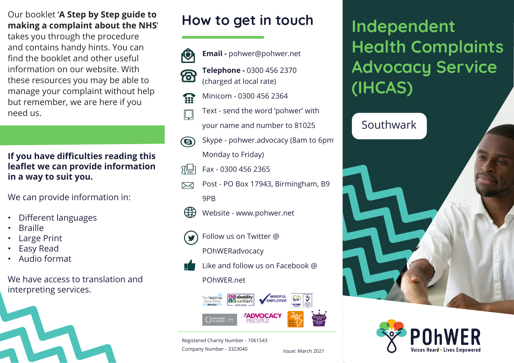### Our booklet '**A Step by Step guide to making a complaint about the NHS**'

takes you through the procedure and contains handy hints. You can find the booklet and other useful information on our website. With these resources you may be able to manage your complaint without help but remember, we are here if you need us.

### **If you have difficulties reading this leaflet we can provide information in a way to suit you.**

We can provide information in:

- Different languages
- **Braille**
- **Large Print**
- Easy Read
- Audio format

We have access to translation and interpreting services.



# **How to get in touch**



**Email -** pohwer@pohwer.net **Telephone -** 0300 456 2370 (charged at local rate)

- Minicom 0300 456 2364 333
	- Text send the word 'pohwer' with
	- your name and number to 81025
- Skype pohwer.advocacy (8am to 6pm  $\circledcirc$ 
	- Monday to Friday)
- Fax 0300 456 2365 阳
- Post PO Box 17943, Birmingham, B9  $\boxtimes$ 9PB
- Æ Website - www.pohwer.net
	- Follow us on Twitter @ POhWERadvocacy



Like and follow us on Facebook @

#### POhWER.net



Registered Charity Number - 1061543 Company Number - 3323040

**Independent Health Complaints Advocacy Service (IHCAS)**

## Southwark